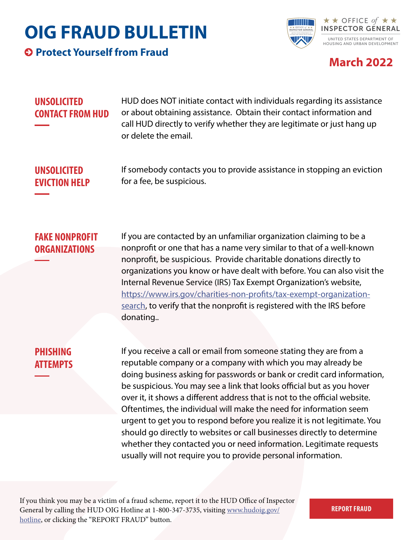# **OIG FRAUD BULLETIN**

**Protect Yourself from Fraud**



### **March 2022**

#### **UNSOLICITED CONTACT FROM HUD**

HUD does NOT initiate contact with individuals regarding its assistance or about obtaining assistance. Obtain their contact information and call HUD directly to verify whether they are legitimate or just hang up or delete the email.

**UNSOLICITED EVICTION HELP** If somebody contacts you to provide assistance in stopping an eviction for a fee, be suspicious.

#### **FAKE NONPROFIT ORGANIZATIONS**

If you are contacted by an unfamiliar organization claiming to be a nonprofit or one that has a name very similar to that of a well-known nonprofit, be suspicious. Provide charitable donations directly to organizations you know or have dealt with before. You can also visit the Internal Revenue Service (IRS) Tax Exempt Organization's website, [https://www.irs.gov/charities-non-profits/tax-exempt-organization](https://www.irs.gov/charities-non-profits/tax-exempt-organization-search)[search,](https://www.irs.gov/charities-non-profits/tax-exempt-organization-search) to verify that the nonprofit is registered with the IRS before donating..

### **PHISHING ATTEMPTS**

If you receive a call or email from someone stating they are from a reputable company or a company with which you may already be doing business asking for passwords or bank or credit card information, be suspicious. You may see a link that looks official but as you hover over it, it shows a different address that is not to the official website. Oftentimes, the individual will make the need for information seem urgent to get you to respond before you realize it is not legitimate. You should go directly to websites or call businesses directly to determine whether they contacted you or need information. Legitimate requests usually will not require you to provide personal information.

If you think you may be a victim of a fraud scheme, report it to the HUD Office of Inspector General by calling the HUD OIG Hotline at 1-800-347-3735, visiting [www.hudoig.gov/](https://www.hudoig.gov/hotline) [hotline,](https://www.hudoig.gov/hotline) or clicking the "REPORT FRAUD" button.

**[REPORT FRAUD](https://www.hudoig.gov/hotline/report-fraud)**